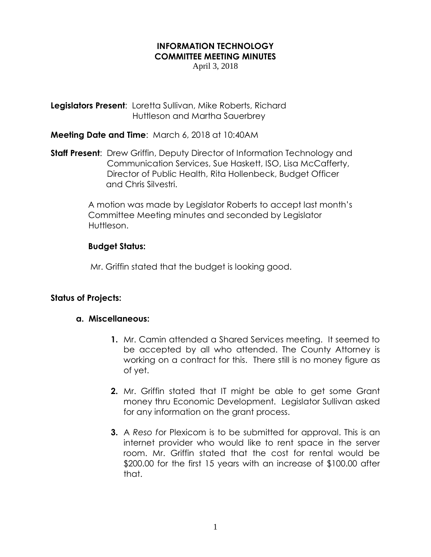## **INFORMATION TECHNOLOGY COMMITTEE MEETING MINUTES**

April 3, 2018

**Legislators Present**: Loretta Sullivan, Mike Roberts, Richard Huttleson and Martha Sauerbrey

**Meeting Date and Time**: March 6, 2018 at 10:40AM

**Staff Present**: Drew Griffin, Deputy Director of Information Technology and Communication Services, Sue Haskett, ISO, Lisa McCafferty, Director of Public Health, Rita Hollenbeck, Budget Officer and Chris Silvestri.

> A motion was made by Legislator Roberts to accept last month's Committee Meeting minutes and seconded by Legislator Huttleson.

## **Budget Status:**

Mr. Griffin stated that the budget is looking good.

## **Status of Projects:**

## **a. Miscellaneous:**

- **1.** Mr. Camin attended a Shared Services meeting. It seemed to be accepted by all who attended. The County Attorney is working on a contract for this. There still is no money figure as of yet.
- **2.** Mr. Griffin stated that IT might be able to get some Grant money thru Economic Development. Legislator Sullivan asked for any information on the grant process.
- **3.** A *Reso f*or Plexicom is to be submitted for approval. This is an internet provider who would like to rent space in the server room. Mr. Griffin stated that the cost for rental would be \$200.00 for the first 15 years with an increase of \$100.00 after that.